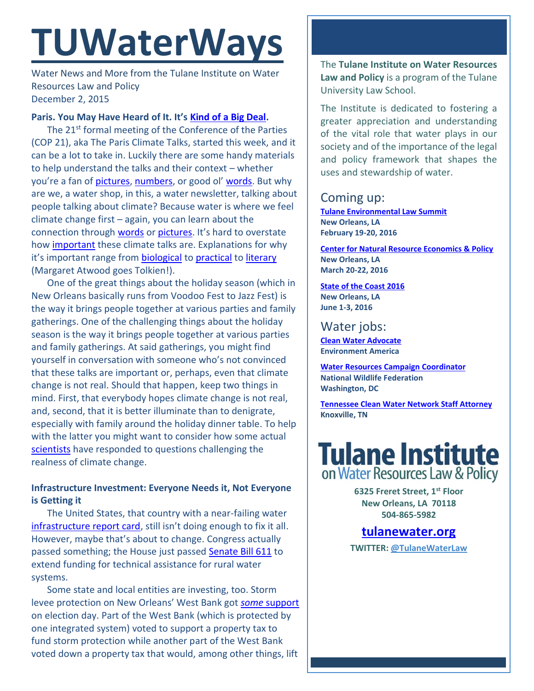# **TUWaterWays**

Water News and More from the Tulane Institute on Water Resources Law and Policy December 2, 2015

#### **Paris. You May Have Heard of It. It's [Kind of a Big Deal.](https://www.youtube.com/watch?v=H8OxKx6zKkQ)**

The 21<sup>st</sup> formal meeting of the Conference of the Parties (COP 21), aka The Paris Climate Talks, started this week, and it can be a lot to take in. Luckily there are some handy materials to help understand the talks and their context – whether you're a fan of [pictures,](http://www.nature.com/news/the-fragile-framework-1.18861?WT.mc_id=TWT_NatureNews) [numbers](https://fivethirtyeight.com/features/significant-digits-paris-climate-talks-edition-for-tuesday-dec-1/), or good ol' [words.](http://www.nytimes.com/interactive/projects/cp/climate/2015-paris-climate-talks/paris-vs-copenhagen?smid=tw-nytimesscience&smtyp=cur) But why are we, a water shop, in this, a water newsletter, talking about people talking about climate? Because water is where we feel climate change first – again, you can learn about the connection through [words](http://www.huffingtonpost.com/giulio-boccaletti/cop21-offers-an-opportuni_b_8677336.html) or [pictures](https://vimeo.com/147110125). It's hard to overstate how [important](http://www.circleofblue.org/waternews/2015/world/paris-negotiators-expected-to-reach-first-global-climate-pact/) these climate talks are. Explanations for why it's important range from [biological](http://gizmodo.com/earths-tropical-rainforests-could-look-completely-diffe-1741354798) to [practical](http://www.theglobeandmail.com/news/national/water-scarcity-poses-an-economic-and-security-threat-around-the-world/article27523813/?utm_source=twitter.com&utm_medium=Referrer:+Social+Network+/+Media&utm_campaign=Shared+Web+Article+Links) to [literary](http://gizmodo.com/margaret-atwood-the-war-against-climate-change-is-our-1745365485) (Margaret Atwood goes Tolkien!).

One of the great things about the holiday season (which in New Orleans basically runs from Voodoo Fest to Jazz Fest) is the way it brings people together at various parties and family gatherings. One of the challenging things about the holiday season is the way it brings people together at various parties and family gatherings. At said gatherings, you might find yourself in conversation with someone who's not convinced that these talks are important or, perhaps, even that climate change is not real. Should that happen, keep two things in mind. First, that everybody hopes climate change is not real, and, second, that it is better illuminate than to denigrate, especially with family around the holiday dinner table. To help with the latter you might want to consider how some actual [scientists](http://billmoyers.com/2014/05/16/eight-pseudo-scientific-climate-claims-debunked-by-real-scientists/) have responded to questions challenging the realness of climate change.

### **Infrastructure Investment: Everyone Needs it, Not Everyone is Getting it**

The United States, that country with a near-failing water [infrastructure report card](http://www.infrastructurereportcard.org/grades/), still isn't doing enough to fix it all. However, maybe that's about to change. Congress actually passed something; the House just passed [Senate Bill 611](https://www.congress.gov/114/bills/s611/BILLS-114s611rh.pdf) to extend funding for technical assistance for rural water systems.

Some state and local entities are investing, too. Storm levee protection on New Orleans' West Bank got *some* [support](http://www.nola.com/politics/index.ssf/2015/11/flood_protection_taxes_approve.html) on election day. Part of the West Bank (which is protected by one integrated system) voted to support a property tax to fund storm protection while another part of the West Bank voted down a property tax that would, among other things, lift

The **Tulane Institute on Water Resources Law and Policy** is a program of the Tulane University Law School.

The Institute is dedicated to fostering a greater appreciation and understanding of the vital role that water plays in our society and of the importance of the legal and policy framework that shapes the uses and stewardship of water.

# Coming up:

**[Tulane Environmental Law Summit](http://tulaneenvironmentallawsummit.com/) New Orleans, LA February 19-20, 2016**

**[Center for Natural Resource Economics & Policy](http://www.cnrep.lsu.edu/2016/) New Orleans, LA March 20-22, 2016**

**[State of the Coast](http://stateofthecoast.org/) 2016 New Orleans, LA June 1-3, 2016**

# Water jobs:

**[Clean Water Advocate](http://jobs.environmentamerica.org/clean-water-advocate.html) Environment America**

**[Water Resources Campaign](https://nwf.applicantpro.com/jobs/314523.html) Coordinator National Wildlife Federation Washington, DC**

**[Tennessee Clean Water Network Staff Attorney](http://www.tcwn.org/job-opening-staff-attorney/) Knoxville, TN**

# **Tulane Institute** on Water Resources Law & Policy

**6325 Freret Street, 1st Floor New Orleans, LA 70118 504-865-5982** 

## **[tulanewater.org](file:///C:/Users/waterlaw/Downloads/tulanewater.org)**

**TWITTER: [@TulaneWaterLaw](http://www.twitter.com/TulaneWaterLaw)**